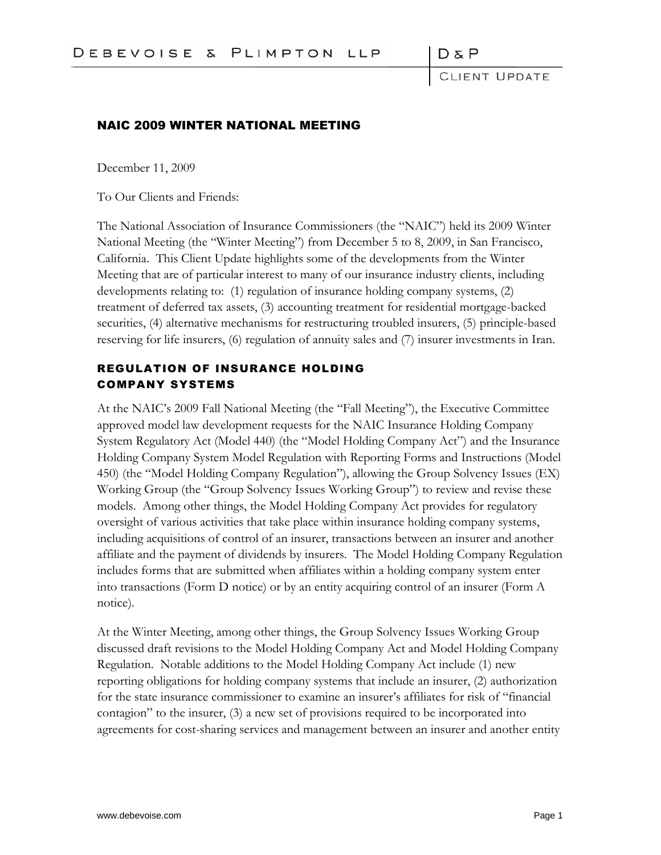DδP

LIENT UPDATE

#### NAIC 2009 WINTER NATIONAL MEETING

December 11, 2009

To Our Clients and Friends:

The National Association of Insurance Commissioners (the "NAIC") held its 2009 Winter National Meeting (the "Winter Meeting") from December 5 to 8, 2009, in San Francisco, California. This Client Update highlights some of the developments from the Winter Meeting that are of particular interest to many of our insurance industry clients, including developments relating to: (1) regulation of insurance holding company systems, (2) treatment of deferred tax assets, (3) accounting treatment for residential mortgage-backed securities, (4) alternative mechanisms for restructuring troubled insurers, (5) principle-based reserving for life insurers, (6) regulation of annuity sales and (7) insurer investments in Iran.

### REGULATION OF INSURANCE HOLDING COMPANY SYSTEMS

At the NAIC's 2009 Fall National Meeting (the "Fall Meeting"), the Executive Committee approved model law development requests for the NAIC Insurance Holding Company System Regulatory Act (Model 440) (the "Model Holding Company Act") and the Insurance Holding Company System Model Regulation with Reporting Forms and Instructions (Model 450) (the "Model Holding Company Regulation"), allowing the Group Solvency Issues (EX) Working Group (the "Group Solvency Issues Working Group") to review and revise these models. Among other things, the Model Holding Company Act provides for regulatory oversight of various activities that take place within insurance holding company systems, including acquisitions of control of an insurer, transactions between an insurer and another affiliate and the payment of dividends by insurers. The Model Holding Company Regulation includes forms that are submitted when affiliates within a holding company system enter into transactions (Form D notice) or by an entity acquiring control of an insurer (Form A notice).

At the Winter Meeting, among other things, the Group Solvency Issues Working Group discussed draft revisions to the Model Holding Company Act and Model Holding Company Regulation. Notable additions to the Model Holding Company Act include (1) new reporting obligations for holding company systems that include an insurer, (2) authorization for the state insurance commissioner to examine an insurer's affiliates for risk of "financial contagion" to the insurer, (3) a new set of provisions required to be incorporated into agreements for cost-sharing services and management between an insurer and another entity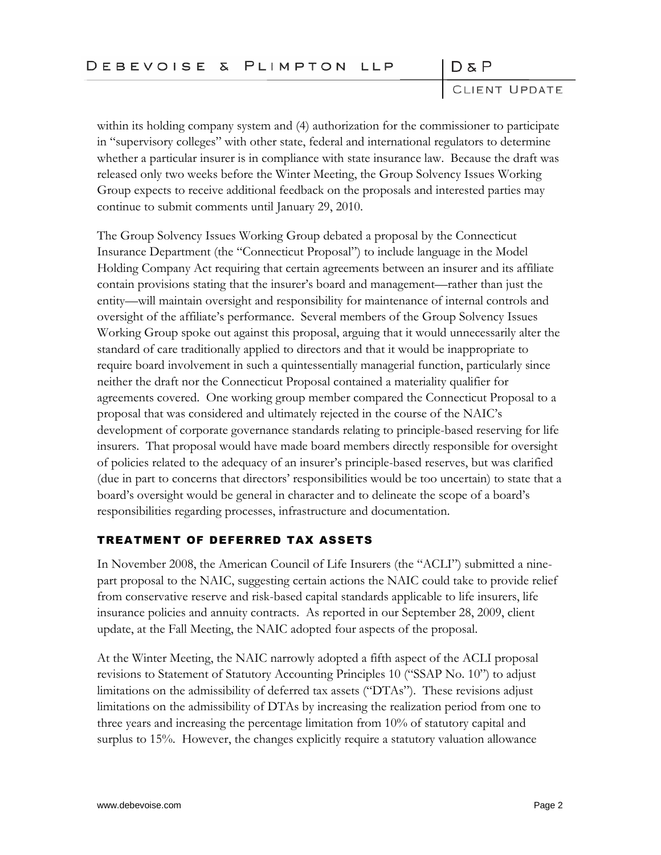CLIENT UPDATE

within its holding company system and (4) authorization for the commissioner to participate in "supervisory colleges" with other state, federal and international regulators to determine whether a particular insurer is in compliance with state insurance law. Because the draft was released only two weeks before the Winter Meeting, the Group Solvency Issues Working Group expects to receive additional feedback on the proposals and interested parties may continue to submit comments until January 29, 2010.

The Group Solvency Issues Working Group debated a proposal by the Connecticut Insurance Department (the "Connecticut Proposal") to include language in the Model Holding Company Act requiring that certain agreements between an insurer and its affiliate contain provisions stating that the insurer's board and management—rather than just the entity—will maintain oversight and responsibility for maintenance of internal controls and oversight of the affiliate's performance. Several members of the Group Solvency Issues Working Group spoke out against this proposal, arguing that it would unnecessarily alter the standard of care traditionally applied to directors and that it would be inappropriate to require board involvement in such a quintessentially managerial function, particularly since neither the draft nor the Connecticut Proposal contained a materiality qualifier for agreements covered. One working group member compared the Connecticut Proposal to a proposal that was considered and ultimately rejected in the course of the NAIC's development of corporate governance standards relating to principle-based reserving for life insurers. That proposal would have made board members directly responsible for oversight of policies related to the adequacy of an insurer's principle-based reserves, but was clarified (due in part to concerns that directors' responsibilities would be too uncertain) to state that a board's oversight would be general in character and to delineate the scope of a board's responsibilities regarding processes, infrastructure and documentation.

### TREATMENT OF DEFERRED TAX ASSETS

In November 2008, the American Council of Life Insurers (the "ACLI") submitted a ninepart proposal to the NAIC, suggesting certain actions the NAIC could take to provide relief from conservative reserve and risk-based capital standards applicable to life insurers, life insurance policies and annuity contracts. As reported in our September 28, 2009, client update, at the Fall Meeting, the NAIC adopted four aspects of the proposal.

At the Winter Meeting, the NAIC narrowly adopted a fifth aspect of the ACLI proposal revisions to Statement of Statutory Accounting Principles 10 ("SSAP No. 10") to adjust limitations on the admissibility of deferred tax assets ("DTAs"). These revisions adjust limitations on the admissibility of DTAs by increasing the realization period from one to three years and increasing the percentage limitation from 10% of statutory capital and surplus to 15%. However, the changes explicitly require a statutory valuation allowance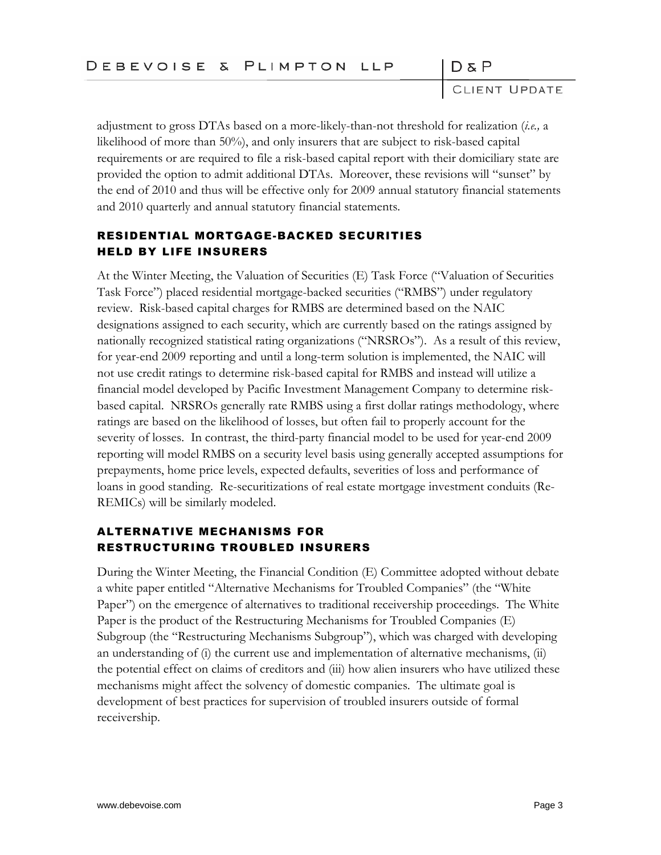CLIENT UPDATE

adjustment to gross DTAs based on a more-likely-than-not threshold for realization (*i.e.,* a likelihood of more than 50%), and only insurers that are subject to risk-based capital requirements or are required to file a risk-based capital report with their domiciliary state are provided the option to admit additional DTAs. Moreover, these revisions will "sunset" by the end of 2010 and thus will be effective only for 2009 annual statutory financial statements and 2010 quarterly and annual statutory financial statements.

# RESIDENTIAL MORTGAGE-BACKED SECURITIES HELD BY LIFE INSURERS

At the Winter Meeting, the Valuation of Securities (E) Task Force ("Valuation of Securities Task Force") placed residential mortgage-backed securities ("RMBS") under regulatory review. Risk-based capital charges for RMBS are determined based on the NAIC designations assigned to each security, which are currently based on the ratings assigned by nationally recognized statistical rating organizations ("NRSROs"). As a result of this review, for year-end 2009 reporting and until a long-term solution is implemented, the NAIC will not use credit ratings to determine risk-based capital for RMBS and instead will utilize a financial model developed by Pacific Investment Management Company to determine riskbased capital. NRSROs generally rate RMBS using a first dollar ratings methodology, where ratings are based on the likelihood of losses, but often fail to properly account for the severity of losses. In contrast, the third-party financial model to be used for year-end 2009 reporting will model RMBS on a security level basis using generally accepted assumptions for prepayments, home price levels, expected defaults, severities of loss and performance of loans in good standing. Re-securitizations of real estate mortgage investment conduits (Re-REMICs) will be similarly modeled.

## ALTERNATIVE MECHANISMS FOR RESTRUCTURING TROUBLED INSURERS

During the Winter Meeting, the Financial Condition (E) Committee adopted without debate a white paper entitled "Alternative Mechanisms for Troubled Companies" (the "White Paper") on the emergence of alternatives to traditional receivership proceedings. The White Paper is the product of the Restructuring Mechanisms for Troubled Companies (E) Subgroup (the "Restructuring Mechanisms Subgroup"), which was charged with developing an understanding of (i) the current use and implementation of alternative mechanisms, (ii) the potential effect on claims of creditors and (iii) how alien insurers who have utilized these mechanisms might affect the solvency of domestic companies. The ultimate goal is development of best practices for supervision of troubled insurers outside of formal receivership.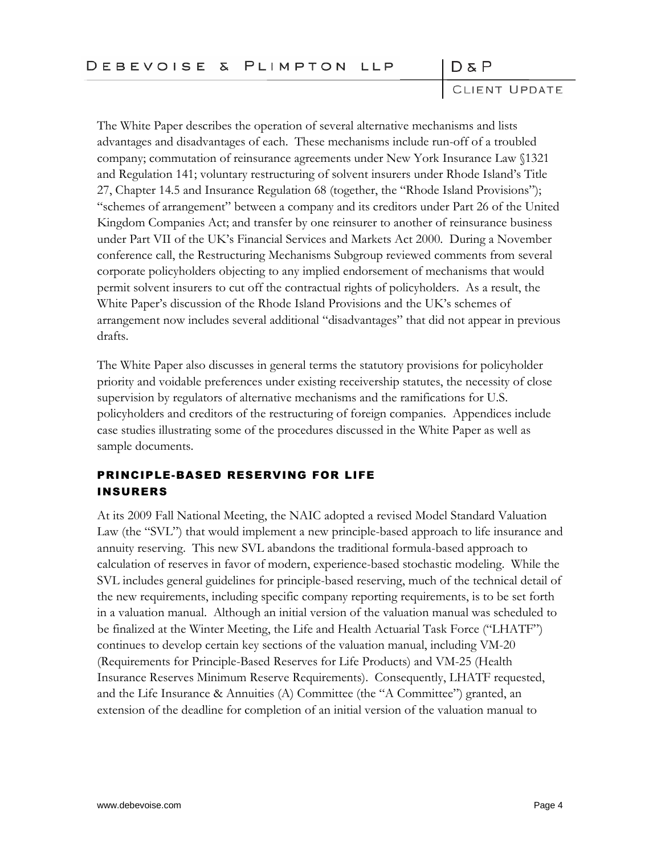CLIENT UPDATE

The White Paper describes the operation of several alternative mechanisms and lists advantages and disadvantages of each. These mechanisms include run-off of a troubled company; commutation of reinsurance agreements under New York Insurance Law §1321 and Regulation 141; voluntary restructuring of solvent insurers under Rhode Island's Title 27, Chapter 14.5 and Insurance Regulation 68 (together, the "Rhode Island Provisions"); "schemes of arrangement" between a company and its creditors under Part 26 of the United Kingdom Companies Act; and transfer by one reinsurer to another of reinsurance business under Part VII of the UK's Financial Services and Markets Act 2000. During a November conference call, the Restructuring Mechanisms Subgroup reviewed comments from several corporate policyholders objecting to any implied endorsement of mechanisms that would permit solvent insurers to cut off the contractual rights of policyholders. As a result, the White Paper's discussion of the Rhode Island Provisions and the UK's schemes of arrangement now includes several additional "disadvantages" that did not appear in previous drafts.

The White Paper also discusses in general terms the statutory provisions for policyholder priority and voidable preferences under existing receivership statutes, the necessity of close supervision by regulators of alternative mechanisms and the ramifications for U.S. policyholders and creditors of the restructuring of foreign companies. Appendices include case studies illustrating some of the procedures discussed in the White Paper as well as sample documents.

# PRINCIPLE-BASED RESERVING FOR LIFE INSURERS

At its 2009 Fall National Meeting, the NAIC adopted a revised Model Standard Valuation Law (the "SVL") that would implement a new principle-based approach to life insurance and annuity reserving. This new SVL abandons the traditional formula-based approach to calculation of reserves in favor of modern, experience-based stochastic modeling. While the SVL includes general guidelines for principle-based reserving, much of the technical detail of the new requirements, including specific company reporting requirements, is to be set forth in a valuation manual. Although an initial version of the valuation manual was scheduled to be finalized at the Winter Meeting, the Life and Health Actuarial Task Force ("LHATF") continues to develop certain key sections of the valuation manual, including VM-20 (Requirements for Principle-Based Reserves for Life Products) and VM-25 (Health Insurance Reserves Minimum Reserve Requirements). Consequently, LHATF requested, and the Life Insurance & Annuities (A) Committee (the "A Committee") granted, an extension of the deadline for completion of an initial version of the valuation manual to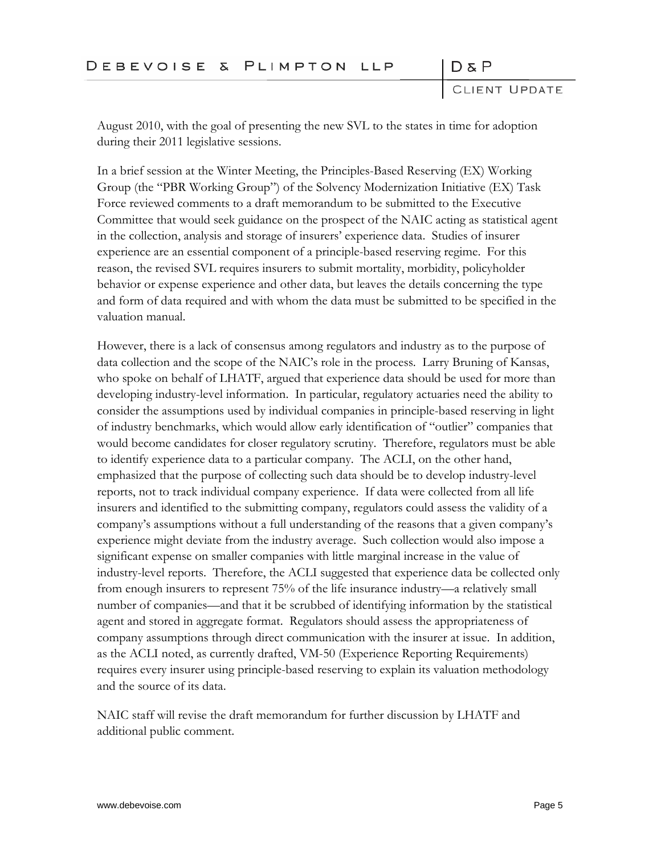CLIENT UPDATE

 $D & P$ 

August 2010, with the goal of presenting the new SVL to the states in time for adoption during their 2011 legislative sessions.

In a brief session at the Winter Meeting, the Principles-Based Reserving (EX) Working Group (the "PBR Working Group") of the Solvency Modernization Initiative (EX) Task Force reviewed comments to a draft memorandum to be submitted to the Executive Committee that would seek guidance on the prospect of the NAIC acting as statistical agent in the collection, analysis and storage of insurers' experience data. Studies of insurer experience are an essential component of a principle-based reserving regime. For this reason, the revised SVL requires insurers to submit mortality, morbidity, policyholder behavior or expense experience and other data, but leaves the details concerning the type and form of data required and with whom the data must be submitted to be specified in the valuation manual.

However, there is a lack of consensus among regulators and industry as to the purpose of data collection and the scope of the NAIC's role in the process. Larry Bruning of Kansas, who spoke on behalf of LHATF, argued that experience data should be used for more than developing industry-level information. In particular, regulatory actuaries need the ability to consider the assumptions used by individual companies in principle-based reserving in light of industry benchmarks, which would allow early identification of "outlier" companies that would become candidates for closer regulatory scrutiny. Therefore, regulators must be able to identify experience data to a particular company. The ACLI, on the other hand, emphasized that the purpose of collecting such data should be to develop industry-level reports, not to track individual company experience. If data were collected from all life insurers and identified to the submitting company, regulators could assess the validity of a company's assumptions without a full understanding of the reasons that a given company's experience might deviate from the industry average. Such collection would also impose a significant expense on smaller companies with little marginal increase in the value of industry-level reports. Therefore, the ACLI suggested that experience data be collected only from enough insurers to represent 75% of the life insurance industry—a relatively small number of companies—and that it be scrubbed of identifying information by the statistical agent and stored in aggregate format. Regulators should assess the appropriateness of company assumptions through direct communication with the insurer at issue. In addition, as the ACLI noted, as currently drafted, VM-50 (Experience Reporting Requirements) requires every insurer using principle-based reserving to explain its valuation methodology and the source of its data.

NAIC staff will revise the draft memorandum for further discussion by LHATF and additional public comment.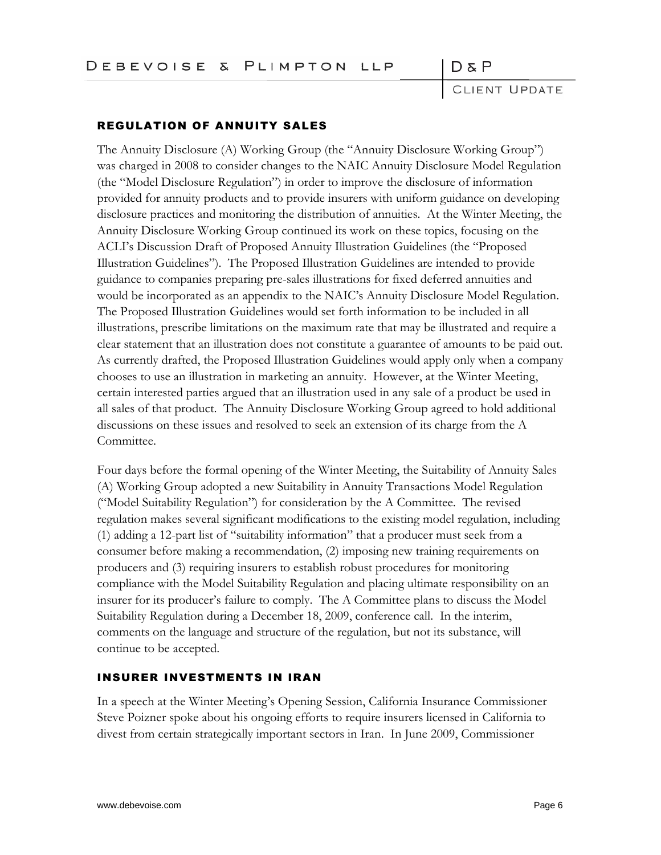CLIENT UPDATE

### REGULATION OF ANNUITY SALES

The Annuity Disclosure (A) Working Group (the "Annuity Disclosure Working Group") was charged in 2008 to consider changes to the NAIC Annuity Disclosure Model Regulation (the "Model Disclosure Regulation") in order to improve the disclosure of information provided for annuity products and to provide insurers with uniform guidance on developing disclosure practices and monitoring the distribution of annuities. At the Winter Meeting, the Annuity Disclosure Working Group continued its work on these topics, focusing on the ACLI's Discussion Draft of Proposed Annuity Illustration Guidelines (the "Proposed Illustration Guidelines"). The Proposed Illustration Guidelines are intended to provide guidance to companies preparing pre-sales illustrations for fixed deferred annuities and would be incorporated as an appendix to the NAIC's Annuity Disclosure Model Regulation. The Proposed Illustration Guidelines would set forth information to be included in all illustrations, prescribe limitations on the maximum rate that may be illustrated and require a clear statement that an illustration does not constitute a guarantee of amounts to be paid out. As currently drafted, the Proposed Illustration Guidelines would apply only when a company chooses to use an illustration in marketing an annuity. However, at the Winter Meeting, certain interested parties argued that an illustration used in any sale of a product be used in all sales of that product. The Annuity Disclosure Working Group agreed to hold additional discussions on these issues and resolved to seek an extension of its charge from the A Committee.

Four days before the formal opening of the Winter Meeting, the Suitability of Annuity Sales (A) Working Group adopted a new Suitability in Annuity Transactions Model Regulation ("Model Suitability Regulation") for consideration by the A Committee. The revised regulation makes several significant modifications to the existing model regulation, including (1) adding a 12-part list of "suitability information" that a producer must seek from a consumer before making a recommendation, (2) imposing new training requirements on producers and (3) requiring insurers to establish robust procedures for monitoring compliance with the Model Suitability Regulation and placing ultimate responsibility on an insurer for its producer's failure to comply. The A Committee plans to discuss the Model Suitability Regulation during a December 18, 2009, conference call. In the interim, comments on the language and structure of the regulation, but not its substance, will continue to be accepted.

### INSURER INVESTMENTS IN IRAN

In a speech at the Winter Meeting's Opening Session, California Insurance Commissioner Steve Poizner spoke about his ongoing efforts to require insurers licensed in California to divest from certain strategically important sectors in Iran. In June 2009, Commissioner